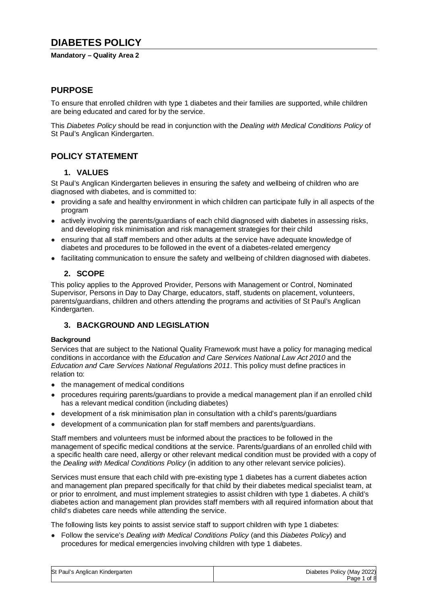# **DIABETES POLICY**

### **Mandatory – Quality Area 2**

# **PURPOSE**

To ensure that enrolled children with type 1 diabetes and their families are supported, while children are being educated and cared for by the service.

This *Diabetes Policy* should be read in conjunction with the *Dealing with Medical Conditions Policy* of St Paul's Anglican Kindergarten.

# **POLICY STATEMENT**

### **1. VALUES**

St Paul's Anglican Kindergarten believes in ensuring the safety and wellbeing of children who are diagnosed with diabetes, and is committed to:

- providing a safe and healthy environment in which children can participate fully in all aspects of the program
- actively involving the parents/guardians of each child diagnosed with diabetes in assessing risks, and developing risk minimisation and risk management strategies for their child
- ensuring that all staff members and other adults at the service have adequate knowledge of diabetes and procedures to be followed in the event of a diabetes-related emergency
- facilitating communication to ensure the safety and wellbeing of children diagnosed with diabetes.

### **2. SCOPE**

This policy applies to the Approved Provider, Persons with Management or Control, Nominated Supervisor, Persons in Day to Day Charge, educators, staff, students on placement, volunteers, parents/guardians, children and others attending the programs and activities of St Paul's Anglican Kindergarten.

## **3. BACKGROUND AND LEGISLATION**

### **Background**

Services that are subject to the National Quality Framework must have a policy for managing medical conditions in accordance with the *Education and Care Services National Law Act 2010* and the *Education and Care Services National Regulations 2011*. This policy must define practices in relation to:

- the management of medical conditions
- procedures requiring parents/guardians to provide a medical management plan if an enrolled child has a relevant medical condition (including diabetes)
- development of a risk minimisation plan in consultation with a child's parents/quardians
- development of a communication plan for staff members and parents/quardians.

Staff members and volunteers must be informed about the practices to be followed in the management of specific medical conditions at the service. Parents/guardians of an enrolled child with a specific health care need, allergy or other relevant medical condition must be provided with a copy of the *Dealing with Medical Conditions Policy* (in addition to any other relevant service policies).

Services must ensure that each child with pre-existing type 1 diabetes has a current diabetes action and management plan prepared specifically for that child by their diabetes medical specialist team, at or prior to enrolment, and must implement strategies to assist children with type 1 diabetes. A child's diabetes action and management plan provides staff members with all required information about that child's diabetes care needs while attending the service.

The following lists key points to assist service staff to support children with type 1 diabetes:

● Follow the service's *Dealing with Medical Conditions Policy* (and this *Diabetes Policy*) and procedures for medical emergencies involving children with type 1 diabetes.

| St Paul's Anglican Kindergarten | Diabetes Policy (May 2022) |
|---------------------------------|----------------------------|
|                                 | Page 1 of 8                |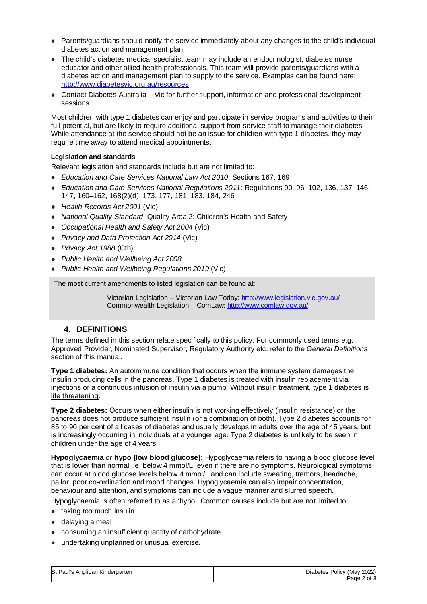- Parents/guardians should notify the service immediately about any changes to the child's individual diabetes action and management plan.
- The child's diabetes medical specialist team may include an endocrinologist, diabetes nurse educator and other allied health professionals. This team will provide parents/guardians with a diabetes action and management plan to supply to the service. Examples can be found here: http://www.diabetesvic.org.au/resources
- Contact Diabetes Australia Vic for further support, information and professional development sessions.

Most children with type 1 diabetes can enjoy and participate in service programs and activities to their full potential, but are likely to require additional support from service staff to manage their diabetes. While attendance at the service should not be an issue for children with type 1 diabetes, they may require time away to attend medical appointments.

### **Legislation and standards**

Relevant legislation and standards include but are not limited to:

- *Education and Care Services National Law Act 2010*: Sections 167, 169
- *Education and Care Services National Regulations 2011*: Regulations 90–96, 102, 136, 137, 146, 147, 160–162, 168(2)(d), 173, 177, 181, 183, 184, 246
- *Health Records Act 2001* (Vic)
- *National Quality Standard*, Quality Area 2: Children's Health and Safety
- *Occupational Health and Safety Act 2004* (Vic)
- *Privacy and Data Protection Act 2014* (Vic)
- *Privacy Act 1988* (Cth)
- *Public Health and Wellbeing Act 2008*
- *Public Health and Wellbeing Regulations 2019* (Vic)

The most current amendments to listed legislation can be found at:

Victorian Legislation – Victorian Law Today: http://www.legislation.vic.gov.au/ Commonwealth Legislation – ComLaw: http://www.comlaw.gov.au/

## **4. DEFINITIONS**

The terms defined in this section relate specifically to this policy. For commonly used terms e.g. Approved Provider, Nominated Supervisor, Regulatory Authority etc. refer to the *General Definitions* section of this manual.

**Type 1 diabetes:** An autoimmune condition that occurs when the immune system damages the insulin producing cells in the pancreas. Type 1 diabetes is treated with insulin replacement via injections or a continuous infusion of insulin via a pump. Without insulin treatment, type 1 diabetes is life threatening.

**Type 2 diabetes:** Occurs when either insulin is not working effectively (insulin resistance) or the pancreas does not produce sufficient insulin (or a combination of both). Type 2 diabetes accounts for 85 to 90 per cent of all cases of diabetes and usually develops in adults over the age of 45 years, but is increasingly occurring in individuals at a younger age. Type 2 diabetes is unlikely to be seen in children under the age of 4 years.

**Hypoglycaemia** *or* **hypo (low blood glucose):** Hypoglycaemia refers to having a blood glucose level that is lower than normal i.e. below 4 mmol/L, even if there are no symptoms. Neurological symptoms can occur at blood glucose levels below 4 mmol/L and can include sweating, tremors, headache, pallor, poor co-ordination and mood changes. Hypoglycaemia can also impair concentration, behaviour and attention, and symptoms can include a vague manner and slurred speech.

Hypoglycaemia is often referred to as a 'hypo'. Common causes include but are not limited to:

- taking too much insulin
- delaying a meal
- consuming an insufficient quantity of carbohydrate
- undertaking unplanned or unusual exercise.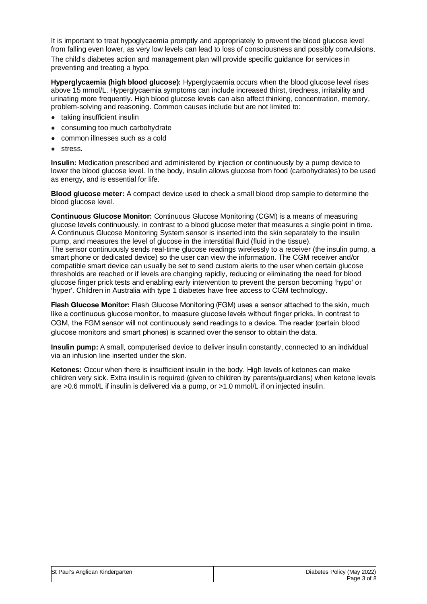It is important to treat hypoglycaemia promptly and appropriately to prevent the blood glucose level from falling even lower, as very low levels can lead to loss of consciousness and possibly convulsions.

The child's diabetes action and management plan will provide specific guidance for services in preventing and treating a hypo.

**Hyperglycaemia (high blood glucose):** Hyperglycaemia occurs when the blood glucose level rises above 15 mmol/L. Hyperglycaemia symptoms can include increased thirst, tiredness, irritability and urinating more frequently. High blood glucose levels can also affect thinking, concentration, memory, problem-solving and reasoning. Common causes include but are not limited to:

- taking insufficient insulin
- consuming too much carbohydrate
- common illnesses such as a cold
- stress.

**Insulin:** Medication prescribed and administered by injection or continuously by a pump device to lower the blood glucose level. In the body, insulin allows glucose from food (carbohydrates) to be used as energy, and is essential for life.

**Blood glucose meter:** A compact device used to check a small blood drop sample to determine the blood glucose level.

**Continuous Glucose Monitor:** Continuous Glucose Monitoring (CGM) is a means of measuring glucose levels continuously, in contrast to a blood glucose meter that measures a single point in time. A Continuous Glucose Monitoring System sensor is inserted into the skin separately to the insulin pump, and measures the level of glucose in the interstitial fluid (fluid in the tissue). The sensor continuously sends real-time glucose readings wirelessly to a receiver (the insulin pump, a smart phone or dedicated device) so the user can view the information. The CGM receiver and/or compatible smart device can usually be set to send custom alerts to the user when certain glucose thresholds are reached or if levels are changing rapidly, reducing or eliminating the need for blood glucose finger prick tests and enabling early intervention to prevent the person becoming 'hypo' or 'hyper'. Children in Australia with type 1 diabetes have free access to CGM technology.

**Flash Glucose Monitor:** Flash Glucose Monitoring (FGM) uses a sensor attached to the skin, much like a continuous glucose monitor, to measure glucose levels without finger pricks. In contrast to CGM, the FGM sensor will not continuously send readings to a device. The reader (certain blood glucose monitors and smart phones) is scanned over the sensor to obtain the data.

**Insulin pump:** A small, computerised device to deliver insulin constantly, connected to an individual via an infusion line inserted under the skin.

**Ketones:** Occur when there is insufficient insulin in the body. High levels of ketones can make children very sick. Extra insulin is required (given to children by parents/guardians) when ketone levels are >0.6 mmol/L if insulin is delivered via a pump, or >1.0 mmol/L if on injected insulin.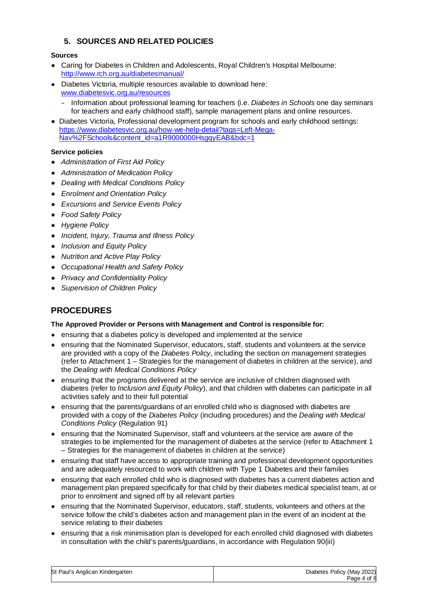# **5. SOURCES AND RELATED POLICIES**

### **Sources**

- Caring for Diabetes in Children and Adolescents, Royal Children's Hospital Melbourne: http://www.rch.org.au/diabetesmanual/
- Diabetes Victoria, multiple resources available to download here: www.diabetesvic.org.au/resources
	- − Information about professional learning for teachers (i.e. *Diabetes in Schools* one day seminars for teachers and early childhood staff), sample management plans and online resources.
- Diabetes Victoria, Professional development program for schools and early childhood settings: https://www.diabetesvic.org.au/how-we-help-detail?tags=Left-Mega-Nav%2FSchools&content\_id=a1R9000000HsgqyEAB&bdc=1

### **Service policies**

- *Administration of First Aid Policy*
- *Administration of Medication Policy*
- *Dealing with Medical Conditions Policy*
- *Enrolment and Orientation Policy*
- *Excursions and Service Events Policy*
- *Food Safety Policy*
- *Hygiene Policy*
- *Incident, Injury, Trauma and Illness Policy*
- *Inclusion and Equity Policy*
- *Nutrition and Active Play Policy*
- *Occupational Health and Safety Policy*
- *Privacy and Confidentiality Policy*
- *Supervision of Children Policy*

# **PROCEDURES**

### **The Approved Provider or Persons with Management and Control is responsible for:**

- ensuring that a diabetes policy is developed and implemented at the service
- ensuring that the Nominated Supervisor, educators, staff, students and volunteers at the service are provided with a copy of the *Diabetes Policy*, including the section on management strategies (refer to Attachment 1 – Strategies for the management of diabetes in children at the service), and the *Dealing with Medical Conditions Policy*
- ensuring that the programs delivered at the service are inclusive of children diagnosed with diabetes (refer to *Inclusion and Equity Policy*), and that children with diabetes can participate in all activities safely and to their full potential
- ensuring that the parents/guardians of an enrolled child who is diagnosed with diabetes are provided with a copy of the *Diabetes Policy* (including procedures) and the *Dealing with Medical Conditions Policy* (Regulation 91)
- ensuring that the Nominated Supervisor, staff and volunteers at the service are aware of the strategies to be implemented for the management of diabetes at the service (refer to Attachment 1 – Strategies for the management of diabetes in children at the service)
- ensuring that staff have access to appropriate training and professional development opportunities and are adequately resourced to work with children with Type 1 Diabetes and their families
- ensuring that each enrolled child who is diagnosed with diabetes has a current diabetes action and management plan prepared specifically for that child by their diabetes medical specialist team, at or prior to enrolment and signed off by all relevant parties
- ensuring that the Nominated Supervisor, educators, staff, students, volunteers and others at the service follow the child's diabetes action and management plan in the event of an incident at the service relating to their diabetes
- ensuring that a risk minimisation plan is developed for each enrolled child diagnosed with diabetes in consultation with the child's parents/guardians, in accordance with Regulation 90(iii)

| St Paul's Anglican Kindergarten | Diabetes Policy (May 2022) |
|---------------------------------|----------------------------|
|                                 | Page 4 of 8                |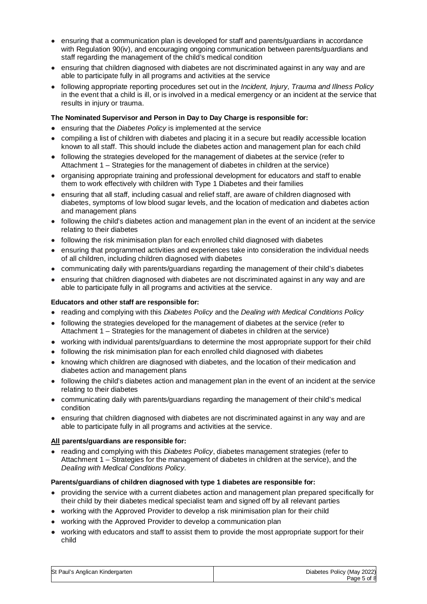- ensuring that a communication plan is developed for staff and parents/guardians in accordance with Regulation 90(iv), and encouraging ongoing communication between parents/guardians and staff regarding the management of the child's medical condition
- ensuring that children diagnosed with diabetes are not discriminated against in any way and are able to participate fully in all programs and activities at the service
- following appropriate reporting procedures set out in the *Incident, Injury, Trauma and Illness Policy* in the event that a child is ill, or is involved in a medical emergency or an incident at the service that results in injury or trauma.

#### **The Nominated Supervisor and Person in Day to Day Charge is responsible for:**

- ensuring that the *Diabetes Policy* is implemented at the service
- compiling a list of children with diabetes and placing it in a secure but readily accessible location known to all staff. This should include the diabetes action and management plan for each child
- following the strategies developed for the management of diabetes at the service (refer to Attachment 1 – Strategies for the management of diabetes in children at the service)
- organising appropriate training and professional development for educators and staff to enable them to work effectively with children with Type 1 Diabetes and their families
- ensuring that all staff, including casual and relief staff, are aware of children diagnosed with diabetes, symptoms of low blood sugar levels, and the location of medication and diabetes action and management plans
- following the child's diabetes action and management plan in the event of an incident at the service relating to their diabetes
- following the risk minimisation plan for each enrolled child diagnosed with diabetes
- ensuring that programmed activities and experiences take into consideration the individual needs of all children, including children diagnosed with diabetes
- communicating daily with parents/guardians regarding the management of their child's diabetes
- ensuring that children diagnosed with diabetes are not discriminated against in any way and are able to participate fully in all programs and activities at the service.

#### **Educators and other staff are responsible for:**

- reading and complying with this *Diabetes Policy* and the *Dealing with Medical Conditions Policy*
- following the strategies developed for the management of diabetes at the service (refer to Attachment 1 – Strategies for the management of diabetes in children at the service)
- working with individual parents/guardians to determine the most appropriate support for their child
- following the risk minimisation plan for each enrolled child diagnosed with diabetes
- knowing which children are diagnosed with diabetes, and the location of their medication and diabetes action and management plans
- following the child's diabetes action and management plan in the event of an incident at the service relating to their diabetes
- communicating daily with parents/guardians regarding the management of their child's medical condition
- ensuring that children diagnosed with diabetes are not discriminated against in any way and are able to participate fully in all programs and activities at the service.

#### **All parents/guardians are responsible for:**

● reading and complying with this *Diabetes Policy*, diabetes management strategies (refer to Attachment 1 – Strategies for the management of diabetes in children at the service), and the *Dealing with Medical Conditions Policy.*

#### **Parents/guardians of children diagnosed with type 1 diabetes are responsible for:**

- providing the service with a current diabetes action and management plan prepared specifically for their child by their diabetes medical specialist team and signed off by all relevant parties
- working with the Approved Provider to develop a risk minimisation plan for their child
- working with the Approved Provider to develop a communication plan
- working with educators and staff to assist them to provide the most appropriate support for their child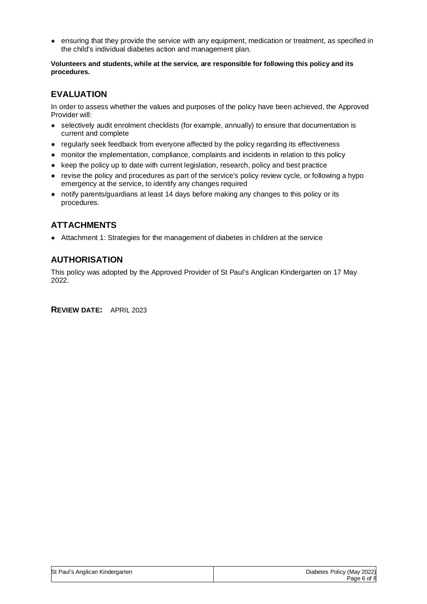● ensuring that they provide the service with any equipment, medication or treatment, as specified in the child's individual diabetes action and management plan.

**Volunteers and students, while at the service, are responsible for following this policy and its procedures.** 

# **EVALUATION**

In order to assess whether the values and purposes of the policy have been achieved, the Approved Provider will:

- selectively audit enrolment checklists (for example, annually) to ensure that documentation is current and complete
- regularly seek feedback from everyone affected by the policy regarding its effectiveness
- monitor the implementation, compliance, complaints and incidents in relation to this policy
- keep the policy up to date with current legislation, research, policy and best practice
- revise the policy and procedures as part of the service's policy review cycle, or following a hypo emergency at the service, to identify any changes required
- notify parents/guardians at least 14 days before making any changes to this policy or its procedures.

# **ATTACHMENTS**

● Attachment 1: Strategies for the management of diabetes in children at the service

# **AUTHORISATION**

This policy was adopted by the Approved Provider of St Paul's Anglican Kindergarten on 17 May 2022.

**REVIEW DATE:** APRIL 2023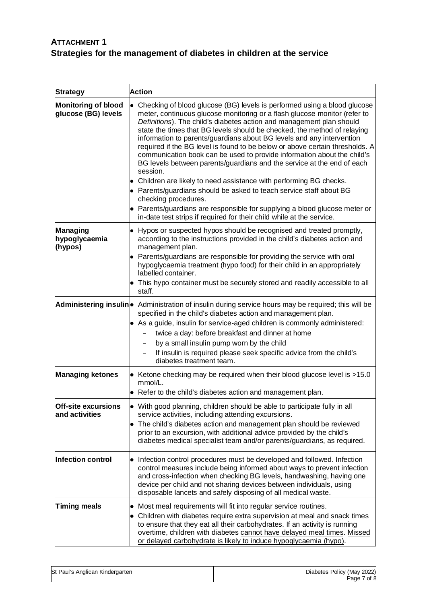# **ATTACHMENT 1 Strategies for the management of diabetes in children at the service**

| <b>Strategy</b>                                   | <b>Action</b>                                                                                                                                                                                                                                                                                                                                                                                                                                                                                                                                                                                                                                                                                                                                                                                                                                                                                                                                                    |
|---------------------------------------------------|------------------------------------------------------------------------------------------------------------------------------------------------------------------------------------------------------------------------------------------------------------------------------------------------------------------------------------------------------------------------------------------------------------------------------------------------------------------------------------------------------------------------------------------------------------------------------------------------------------------------------------------------------------------------------------------------------------------------------------------------------------------------------------------------------------------------------------------------------------------------------------------------------------------------------------------------------------------|
| <b>Monitoring of blood</b><br>glucose (BG) levels | Checking of blood glucose (BG) levels is performed using a blood glucose<br>meter, continuous glucose monitoring or a flash glucose monitor (refer to<br>Definitions). The child's diabetes action and management plan should<br>state the times that BG levels should be checked, the method of relaying<br>information to parents/guardians about BG levels and any intervention<br>required if the BG level is found to be below or above certain thresholds. A<br>communication book can be used to provide information about the child's<br>BG levels between parents/guardians and the service at the end of each<br>session.<br>• Children are likely to need assistance with performing BG checks.<br>• Parents/guardians should be asked to teach service staff about BG<br>checking procedures.<br>• Parents/guardians are responsible for supplying a blood glucose meter or<br>in-date test strips if required for their child while at the service. |
| Managing<br>hypoglycaemia<br>(hypos)              | • Hypos or suspected hypos should be recognised and treated promptly,<br>according to the instructions provided in the child's diabetes action and<br>management plan.<br>• Parents/guardians are responsible for providing the service with oral<br>hypoglycaemia treatment (hypo food) for their child in an appropriately<br>labelled container.<br>• This hypo container must be securely stored and readily accessible to all<br>staff.                                                                                                                                                                                                                                                                                                                                                                                                                                                                                                                     |
|                                                   | Administering insulin • Administration of insulin during service hours may be required; this will be<br>specified in the child's diabetes action and management plan.<br>• As a guide, insulin for service-aged children is commonly administered:<br>twice a day: before breakfast and dinner at home<br>by a small insulin pump worn by the child<br>If insulin is required please seek specific advice from the child's<br>$\qquad \qquad -$<br>diabetes treatment team.                                                                                                                                                                                                                                                                                                                                                                                                                                                                                      |
| <b>Managing ketones</b>                           | • Ketone checking may be required when their blood glucose level is >15.0<br>mmol/L.<br>• Refer to the child's diabetes action and management plan.                                                                                                                                                                                                                                                                                                                                                                                                                                                                                                                                                                                                                                                                                                                                                                                                              |
| Off-site excursions<br>and activities             | • With good planning, children should be able to participate fully in all<br>service activities, including attending excursions.<br>• The child's diabetes action and management plan should be reviewed<br>prior to an excursion, with additional advice provided by the child's<br>diabetes medical specialist team and/or parents/guardians, as required.                                                                                                                                                                                                                                                                                                                                                                                                                                                                                                                                                                                                     |
| Infection control                                 | • Infection control procedures must be developed and followed. Infection<br>control measures include being informed about ways to prevent infection<br>and cross-infection when checking BG levels, handwashing, having one<br>device per child and not sharing devices between individuals, using<br>disposable lancets and safely disposing of all medical waste.                                                                                                                                                                                                                                                                                                                                                                                                                                                                                                                                                                                              |
| <b>Timing meals</b>                               | • Most meal requirements will fit into regular service routines.<br>Children with diabetes require extra supervision at meal and snack times<br>to ensure that they eat all their carbohydrates. If an activity is running<br>overtime, children with diabetes cannot have delayed meal times. Missed<br>or delayed carbohydrate is likely to induce hypoglycaemia (hypo).                                                                                                                                                                                                                                                                                                                                                                                                                                                                                                                                                                                       |